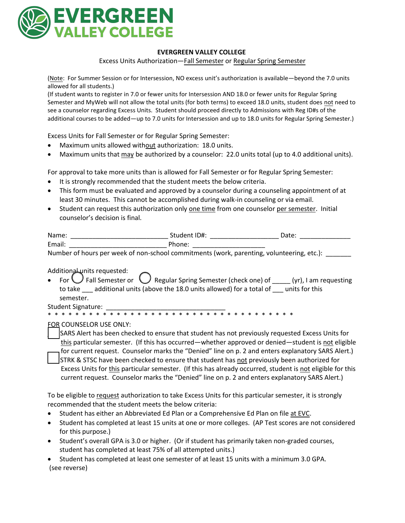

## **EVERGREEN VALLEY COLLEGE**

Excess Units Authorization—Fall Semester or Regular Spring Semester

(Note: For Summer Session or for Intersession, NO excess unit's authorization is available—beyond the 7.0 units allowed for all students.)

(If student wants to register in 7.0 or fewer units for Intersession AND 18.0 or fewer units for Regular Spring Semester and MyWeb will not allow the total units (for both terms) to exceed 18.0 units, student does not need to see a counselor regarding Excess Units. Student should proceed directly to Admissions with Reg ID#s of the additional courses to be added—up to 7.0 units for Intersession and up to 18.0 units for Regular Spring Semester.)

Excess Units for Fall Semester or for Regular Spring Semester:

- Maximum units allowed without authorization: 18.0 units.
- Maximum units that may be authorized by a counselor: 22.0 units total (up to 4.0 additional units).

For approval to take more units than is allowed for Fall Semester or for Regular Spring Semester:

- It is strongly recommended that the student meets the below criteria.
- This form must be evaluated and approved by a counselor during a counseling appointment of at least 30 minutes. This cannot be accomplished during walk-in counseling or via email.
- Student can request this authorization only one time from one counselor per semester. Initial counselor's decision is final.

| Name:  | Student ID#.             | Date |
|--------|--------------------------|------|
| Email: | - ה<br>h∩n≏<br>,,,,,,,,, |      |

Number of hours per week of non-school commitments (work, parenting, volunteering, etc.):

Additional units requested:

For  $\bigcup$  Fall Semester or  $\bigcup$  Regular Spring Semester (check one) of  $\bigcup$  (yr), I am requesting to take \_\_\_ additional units (above the 18.0 units allowed) for a total of \_\_\_ units for this semester.

Student Signature:

\* \* \* \* \* \* \* \* \* \* \* \* \* \* \* \* \* \* \* \* \* \* \* \* \* \* \* \* \* \* \* \* \* \* \* \*

FOR COUNSELOR USE ONLY:

SARS Alert has been checked to ensure that student has not previously requested Excess Units for this particular semester. (If this has occurred—whether approved or denied—student is not eligible for current request. Counselor marks the "Denied" line on p. 2 and enters explanatory SARS Alert.) \_\_\_ STRK & STSC have been checked to ensure that student has not previously been authorized for Excess Units for this particular semester. (If this has already occurred, student is not eligible for this current request. Counselor marks the "Denied" line on p. 2 and enters explanatory SARS Alert.)

To be eligible to request authorization to take Excess Units for this particular semester, it is strongly recommended that the student meets the below criteria:

- **Student has either an Abbreviated Ed Plan or a Comprehensive Ed Plan on file at EVC.**
- Student has completed at least 15 units at one or more colleges. (AP Test scores are not considered for this purpose.)
- Student's overall GPA is 3.0 or higher. (Or if student has primarily taken non-graded courses, student has completed at least 75% of all attempted units.)
- Student has completed at least one semester of at least 15 units with a minimum 3.0 GPA. (see reverse)